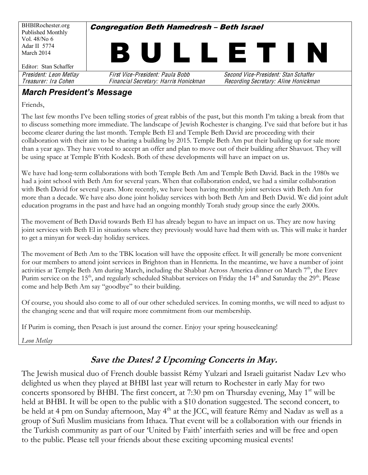BHBIRochester.org Published Monthly Vol. 48/No 6 Adar II 5774 March 2014 Editor: Stan Schaffer **Congregation Beth Hamedresh - Beth Israel** L L E T President: Leon Metlay First Vice-President: Paula Bobb Second Vice-President: Stan Schaffe<sup>r</sup> Treasurer: Ira Cohe<sup>n</sup> Financial Secretary: Harri<sup>s</sup> Honickman Recording Secretary: Alin<sup>e</sup> Honickman

#### *March President's Message*

Friends,

The last few months I've been telling stories of great rabbis of the past, but this month I'm taking a break from that to discuss something more immediate. The landscape of Jewish Rochester is changing. I've said that before but it has become clearer during the last month. Temple Beth El and Temple Beth David are proceeding with their collaboration with their aim to be sharing a building by 2015. Temple Beth Am put their building up for sale more than a year ago. They have voted to accept an offer and plan to move out of their building after Shavuot. They will be using space at Temple B'rith Kodesh. Both of these developments will have an impact on us.

We have had long-term collaborations with both Temple Beth Am and Temple Beth David. Back in the 1980s we had a joint school with Beth Am for several years. When that collaboration ended, we had a similar collaboration with Beth David for several years. More recently, we have been having monthly joint services with Beth Am for more than a decade. We have also done joint holiday services with both Beth Am and Beth David. We did joint adult education programs in the past and have had an ongoing monthly Torah study group since the early 2000s.

The movement of Beth David towards Beth El has already begun to have an impact on us. They are now having joint services with Beth El in situations where they previously would have had them with us. This will make it harder to get a minyan for week-day holiday services.

The movement of Beth Am to the TBK location will have the opposite effect. It will generally be more convenient for our members to attend joint services in Brighton than in Henrietta. In the meantime, we have a number of joint activities at Temple Beth Am during March, including the Shabbat Across America dinner on March 7<sup>th</sup>, the Erev Purim service on the 15<sup>th</sup>, and regularly scheduled Shabbat services on Friday the 14<sup>th</sup> and Saturday the 29<sup>th</sup>. Please come and help Beth Am say "goodbye" to their building.

Of course, you should also come to all of our other scheduled services. In coming months, we will need to adjust to the changing scene and that will require more commitment from our membership.

If Purim is coming, then Pesach is just around the corner. Enjoy your spring housecleaning!

*Leon Metlay*

#### **Save the Dates! 2 Upcoming Concerts in May.**

The Jewish musical duo of French double bassist Rémy Yulzari and Israeli guitarist Nadav Lev who delighted us when they played at BHBI last year will return to Rochester in early May for two concerts sponsored by BHBI. The first concert, at 7:30 pm on Thursday evening, May  $1<sup>st</sup>$  will be held at BHBI. It will be open to the public with a \$10 donation suggested. The second concert, to be held at 4 pm on Sunday afternoon, May 4<sup>th</sup> at the JCC, will feature Rémy and Nadav as well as a group of Sufi Muslim musicians from Ithaca. That event will be a collaboration with our friends in the Turkish community as part of our 'United by Faith' interfaith series and will be free and open to the public. Please tell your friends about these exciting upcoming musical events!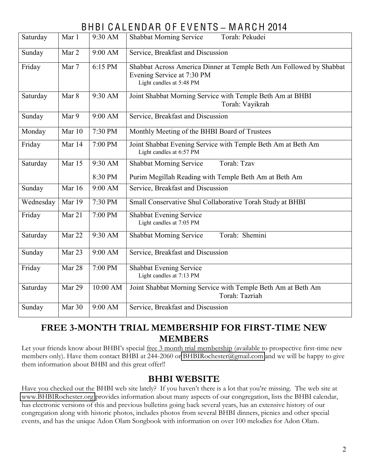## BHBI C A L ENDAR O F E V ENTS **±** M ARC H 2014

| Saturday  | Mar 1  | 9:30 AM  | <b>Shabbat Morning Service</b><br>Torah: Pekudei                                                                              |  |  |  |  |  |
|-----------|--------|----------|-------------------------------------------------------------------------------------------------------------------------------|--|--|--|--|--|
| Sunday    | Mar 2  | 9:00 AM  | Service, Breakfast and Discussion                                                                                             |  |  |  |  |  |
| Friday    | Mar 7  | 6:15 PM  | Shabbat Across America Dinner at Temple Beth Am Followed by Shabbat<br>Evening Service at 7:30 PM<br>Light candles at 5:48 PM |  |  |  |  |  |
| Saturday  | Mar 8  | 9:30 AM  | Joint Shabbat Morning Service with Temple Beth Am at BHBI<br>Torah: Vayikrah                                                  |  |  |  |  |  |
| Sunday    | Mar 9  | 9:00 AM  | Service, Breakfast and Discussion                                                                                             |  |  |  |  |  |
| Monday    | Mar 10 | 7:30 PM  | Monthly Meeting of the BHBI Board of Trustees                                                                                 |  |  |  |  |  |
| Friday    | Mar 14 | 7:00 PM  | Joint Shabbat Evening Service with Temple Beth Am at Beth Am<br>Light candles at 6:57 PM                                      |  |  |  |  |  |
| Saturday  | Mar 15 | 9:30 AM  | <b>Shabbat Morning Service</b><br>Torah: Tzav                                                                                 |  |  |  |  |  |
|           |        | 8:30 PM  | Purim Megillah Reading with Temple Beth Am at Beth Am                                                                         |  |  |  |  |  |
| Sunday    | Mar 16 | 9:00 AM  | Service, Breakfast and Discussion                                                                                             |  |  |  |  |  |
| Wednesday | Mar 19 | 7:30 PM  | Small Conservative Shul Collaborative Torah Study at BHBI                                                                     |  |  |  |  |  |
| Friday    | Mar 21 | 7:00 PM  | <b>Shabbat Evening Service</b><br>Light candles at 7:05 PM                                                                    |  |  |  |  |  |
| Saturday  | Mar 22 | 9:30 AM  | Torah: Shemini<br><b>Shabbat Morning Service</b>                                                                              |  |  |  |  |  |
| Sunday    | Mar 23 | 9:00 AM  | Service, Breakfast and Discussion                                                                                             |  |  |  |  |  |
| Friday    | Mar 28 | 7:00 PM  | <b>Shabbat Evening Service</b><br>Light candles at 7:13 PM                                                                    |  |  |  |  |  |
| Saturday  | Mar 29 | 10:00 AM | Joint Shabbat Morning Service with Temple Beth Am at Beth Am<br>Torah: Tazriah                                                |  |  |  |  |  |
| Sunday    | Mar 30 | 9:00 AM  | Service, Breakfast and Discussion                                                                                             |  |  |  |  |  |

#### **FREE 3-MONTH TRIAL MEMBERSHIP FOR FIRST-TIME NEW MEMBERS**

Let your friends know about BHBI's special free 3 month trial membership (available to prospective first-time new members only). Have them contact BHBI at 244-2060 or [BHBIRochester@gmail.com](mailto:BHBIRochester@gmail.com) and we will be happy to give them information about BHBI and this great offer!!

#### **BHBI WEBSITE**

Have you checked out the BHBI web site lately? If you haven't there is a lot that you're missing. The web site at [www.BHBIRochester.org](http://www.bhbirochester.org/) provides information about many aspects of our congregation, lists the BHBI calendar, has electronic versions of this and previous bulletins going back several years, has an extensive history of our congregation along with historic photos, includes photos from several BHBI dinners, picnics and other special events, and has the unique Adon Olam Songbook with information on over 100 melodies for Adon Olam.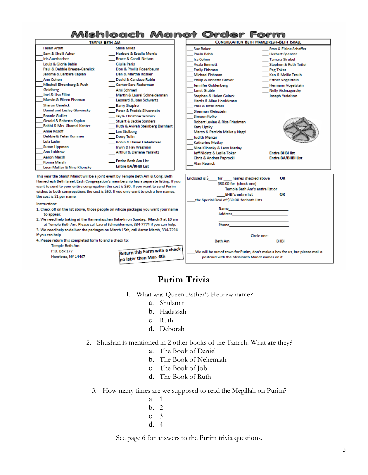#### Mishloach Manot Order Form **CONGREGATION BETH HAMEDRESH-BETH ISRAEL TEMPLE BETH AM Helen Arditi Sallie Miles Sue Baker** Stan & Elaine Schaffer Sam & Shelli Asher Herbert & Estelle Morris **Paula Bobb Herbert Spencer Iris Auerbacher** Bruce & Candi Nelson Ira Cohen **Tamara Strubel** Louis & Gloria Babin **Giulia Paris Ayala Emmett** Stephen & Ruth Teitel Paul & Debbie Breese-Garelick Don & Phyllis Rosenbaum **Emily Fishman** Peg Toker Jerome & Barbara Caplan Dan & Martha Rosner Michael Fishman Ken & Mollie Traub David & Candace Rubin **Ann Cohen Philip & Annette Garver Esther Vogelstein** Mitchell Ehrenberg & Ruth **Cantor Sara Ruderman** Jennifer Goldenberg **Hermann Vogelstein** Goldberg Ami Schmerl **Janet Grable Nelly Vishnagorsky** Joel & Lisa Elliot Martin & Laurel Schneiderman Joseph Yudelson Stephen & Helen Gulack Marvin & Eileen Fishman Leonard & Joan Schwartz **Harris & Aline Honickman Sharon Garelick Barry Shapiro** Paul & Rose Israel Daniel and Lesley Glowinsky Peter & Fredda Silverstein **Sherman Kleinstein Ronnie Guillet** Jay & Christine Skolnick Simeon Kolko Gerald & Roberta Kaplan **Stuart & Jackie Sonders** Robert Levine & Rise Friedman Rabbi & Mrs. Shamai Kanter **Ruth & Avivah Steinberg Barnhart Katy Lipsky** Anne Kosoff Lee Stolberg Marco & Patricia Malka y Negri Debbie & Peter Kummer **Dotty Tulin Judith Mercer** Lola Ladin Robin & Daniel Uebelacker **Katharine Metlav** Susan Lippman Irwin & Fay Wagman Nina Klionsky & Leon Metlav Ann Lubitow **Arthur & Darlene Yaravitz** Jeff Nidetz & Leslie Toker **Fotire RHRI list Aaron Marsh** Chris & Andrea Paprocki **Entire BA/BHBI List Entire Beth Am List Ronna Marsh Alan Resnick** Entire BA/BHBI List Leon Metlay & Nina Klionsky This year the Shalot Manot will be a joint event by Temple Beth Am & Cong. Beth Enclosed is \$ for names checked above OR Hamedresh Beth Israel. Each Congregation's membership has a separate listing. If you \$30.00 for (check one) want to send to your entire congregation the cost is \$30. If you want to send Purim Temple Beth Am's entire list or wishes to both congregations the cost is \$50. If you only want to pick a few names, OR BHBI's entire list the cost is \$1 per name. the Special Deal of \$50.00 for both lists Instructions: 1. Check off on the list above, those people on whose packages you want your name Name Address to appear. 2. We need help baking at the Hamentaschen Bake-In on Sunday, March 9 at 10 am at Temple Beth Am. Please call Laurel Schneiderman, 334-7774 if you can help. Phone 3. We need help to deliver the packages on March 15th, call Aaron Marsh, 334-7224

if you can help 4. Please return this completed form to and a check to:

Temple Beth Am Return this Form with a check P.O. Box 177 no later than Mar. 6th Henrietta, NY 14467

# **Purim Trivia**

Circle one:

We will be out of town for Purim, don't make a box for us, but please mail a

postcard with the Mishloach Manot names on it.

**RHRI** 

**Beth Am** 

- 1. What was Oueen Esther's Hebrew name?
	- a. Shulamit
	- b. Hadassah
	- c. Ruth
	- d. Deborah
- 2. Shushan is mentioned in 2 other books of the Tanach. What are they?
	- a. The Book of Daniel
	- b. The Book of Nehemiah
	- c. The Book of Job
	- d. The Book of Ruth
	- 3. How many times are we supposed to read the Megillah on Purim?
		- a. 1  $h<sub>2</sub>$
		- c. 3
		- d. 4

See page 6 for answers to the Purim trivia questions.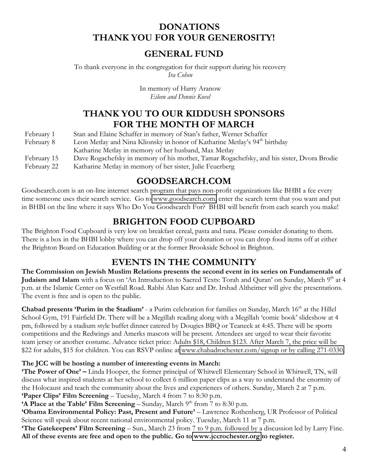#### **DONATIONS THANK YOU FOR YOUR GENEROSITY!**

#### **GENERAL FUND**

To thank everyone in the congregation for their support during his recovery *Ira Cohen*

> In memory of Harry Aranow *Eileen and Dennis Kovel*

#### **THANK YOU TO OUR KIDDUSH SPONSORS FOR THE MONTH OF MARCH**

| February 1  | Stan and Elaine Schaffer in memory of Stan's father, Werner Schaffer                      |
|-------------|-------------------------------------------------------------------------------------------|
| February 8  | Leon Metlay and Nina Klionsky in honor of Katharine Metlay's 94 <sup>th</sup> birthday    |
|             | Katharine Metlay in memory of her husband, Max Metlay                                     |
| February 15 | Dave Rogachefsky in memory of his mother, Tamar Rogachefsky, and his sister, Dvora Brodie |
| February 22 | Katharine Metlay in memory of her sister, Julie Feuerberg                                 |

#### **GOODSEARCH.COM**

Goodsearch.com is an on-line internet search program that pays non-profit organizations like BHBI a fee every time someone uses their search service. Go to [www.goodsearch.com,](http://www.goodsearch.com/) enter the search term that you want and put in BHBI on the line where it says Who Do You Goodsearch For? BHBI will benefit from each search you make!

#### **BRIGHTON FOOD CUPBOARD**

The Brighton Food Cupboard is very low on breakfast cereal, pasta and tuna. Please consider donating to them. There is a box in the BHBI lobby where you can drop off your donation or you can drop food items off at either the Brighton Board on Education Building or at the former Brookside School in Brighton.

#### **EVENTS IN THE COMMUNITY**

**The Commission on Jewish Muslim Relations presents the second event in its series on Fundamentals of Judaism and Islam** with a focus on 'An Introduction to Sacred Texts: Torah and Quran' on Sunday, March 9<sup>th</sup> at 4 p.m. at the Islamic Center on Westfall Road. Rabbi Alan Katz and Dr. Irshad Altheimer will give the presentations. The event is free and is open to the public.

**Chabad presents 'Purim in the Stadium' - a Purim celebration for families on Sunday, March 16<sup>th</sup> at the Hillel** School Gym, 191 Fairfield Dr. There will be a Megillah reading along with a Megillah 'comic book' slideshow at 4 pm, followed by a stadium style buffet dinner catered by Dougies BBQ or Teaneck at 4:45. There will be sports competitions and the Redwings and Amerks mascots will be present. Attendees are urged to wear their favorite team jersey or another costume. Advance ticket price: Adults \$18, Children \$123. After March 7, the price will be \$22 for adults, \$15 for children. You can RSVP online at [www.chabadrochester.com/signup or by calling 271-0330.](http://www.chabadrochester.com/signup%20or%20by%20calling%20271-0330)

#### **The JCC will be hosting a number of interesting events in March:**

**¶The Power of One· ²** Linda Hooper, the former principal of Whitwell Elementary School in Whitwell, TN, will discuss what inspired students at her school to collect 6 million paper clips as a way to understand the enormity of the Holocaust and teach the community about the lives and experiences of others. Sunday, March 2 at 7 p.m. **'Paper Clips' Film Screening - Tuesday, March 4 from 7 to 8:30 p.m.** 

**'A Place at the Table' Film Screening – Sunday, March**  $9<sup>th</sup>$  **from 7 to 8:30 p.m.** 

**'Obama Environmental Policy: Past, Present and Future' - Lawrence Rothenberg, UR Professor of Political** Science will speak about recent national environmental policy. Tuesday, March 11 at 7 p.m.

**The Gatekeepers' Film Screening – Sun., March 23 from 7 to 9 p.m. followed by a discussion led by Larry Fine. All of these events are free and open to the public. Go to [www.jccrochester.org](http://www.jccrochester.org/) to register.**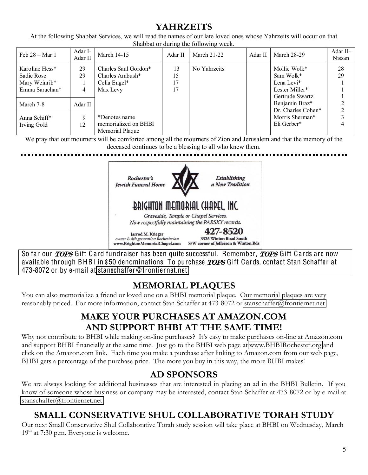#### **YAHRZEITS**

At the following Shabbat Services, we will read the names of our late loved ones whose Yahrzeits will occur on that Shabbat or during the following week.

| Feb $28 - Mar$ 1                                                | Adar I-<br>Adar II | <b>March 14-15</b>                                                  | Adar II              | <b>March 21-22</b> | Adar II | <b>March 28-29</b>                                                           | Adar II-<br>Nissan |
|-----------------------------------------------------------------|--------------------|---------------------------------------------------------------------|----------------------|--------------------|---------|------------------------------------------------------------------------------|--------------------|
| Karoline Hess*<br>Sadie Rose<br>Mary Weinrib*<br>Emma Sarachan* | 29<br>29<br>4      | Charles Saul Gordon*<br>Charles Ambush*<br>Celia Engel*<br>Max Levy | 13<br>15<br>17<br>17 | No Yahrzeits       |         | Mollie Wolk*<br>Sam Wolk*<br>Lena Levi*<br>Lester Miller*<br>Gertrude Swartz | 28<br>29           |
| March 7-8                                                       | Adar II            |                                                                     |                      |                    |         | Benjamin Braz*<br>Dr. Charles Cohen*                                         | $\overline{2}$     |
| Anna Schiff*<br>Irving Gold                                     | $\mathbf Q$<br>12  | *Denotes name<br>memorialized on BHBI<br>Memorial Plaque            |                      |                    |         | Morris Sherman*<br>Eli Gerber*                                               |                    |

We pray that our mourners will be comforted among all the mourners of Zion and Jerusalem and that the memory of the deceased continues to be a blessing to all who knew them.



So far our *TOPS* Gift Card fundraiser has been quite successful. Remember, *TOPS* Gift Cards are now available through BHBI in \$50 denominations. To purchase *TOPS* Gift Cards, contact Stan Schaffer at 473-8072 or by e-mail at stanschaffe[r@fronti](mailto:stanschaffer@frontiernet.net)ernet.net

## **MEMORIAL PLAQUES**

You can also memorialize a friend or loved one on a BHBI memorial plaque. Our memorial plaques are very reasonably priced. For more information, contact Stan Schaffer at 473-8072 or [stanschaffer@frontiernet.net](mailto:stanschaffer@frontiernet.net)

#### **MAKE YOUR PURCHASES AT AMAZON.COM AND SUPPORT BHBI AT THE SAME TIME!**

Why not contribute to BHBI while making on-line purchases? It's easy to make purchases on-line at Amazon.com and support BHBI financially at the same time. Just go to the BHBI web page at [www.BHBIRochester.org](http://www.bhbirochester.org/) and click on the Amazon.com link. Each time you make a purchase after linking to Amazon.com from our web page, BHBI gets a percentage of the purchase price. The more you buy in this way, the more BHBI makes!

#### **AD SPONSORS**

We are always looking for additional businesses that are interested in placing an ad in the BHBI Bulletin. If you know of someone whose business or company may be interested, contact Stan Schaffer at 473-8072 or by e-mail at [stanschaffer@frontiernet.net](mailto:stanschaffer@frontiernet.net)

## **SMALL CONSERVATIVE SHUL COLLABORATIVE TORAH STUDY**

Our next Small Conservative Shul Collaborative Torah study session will take place at BHBI on Wednesday, March  $19<sup>th</sup>$  at 7:30 p.m. Everyone is welcome.